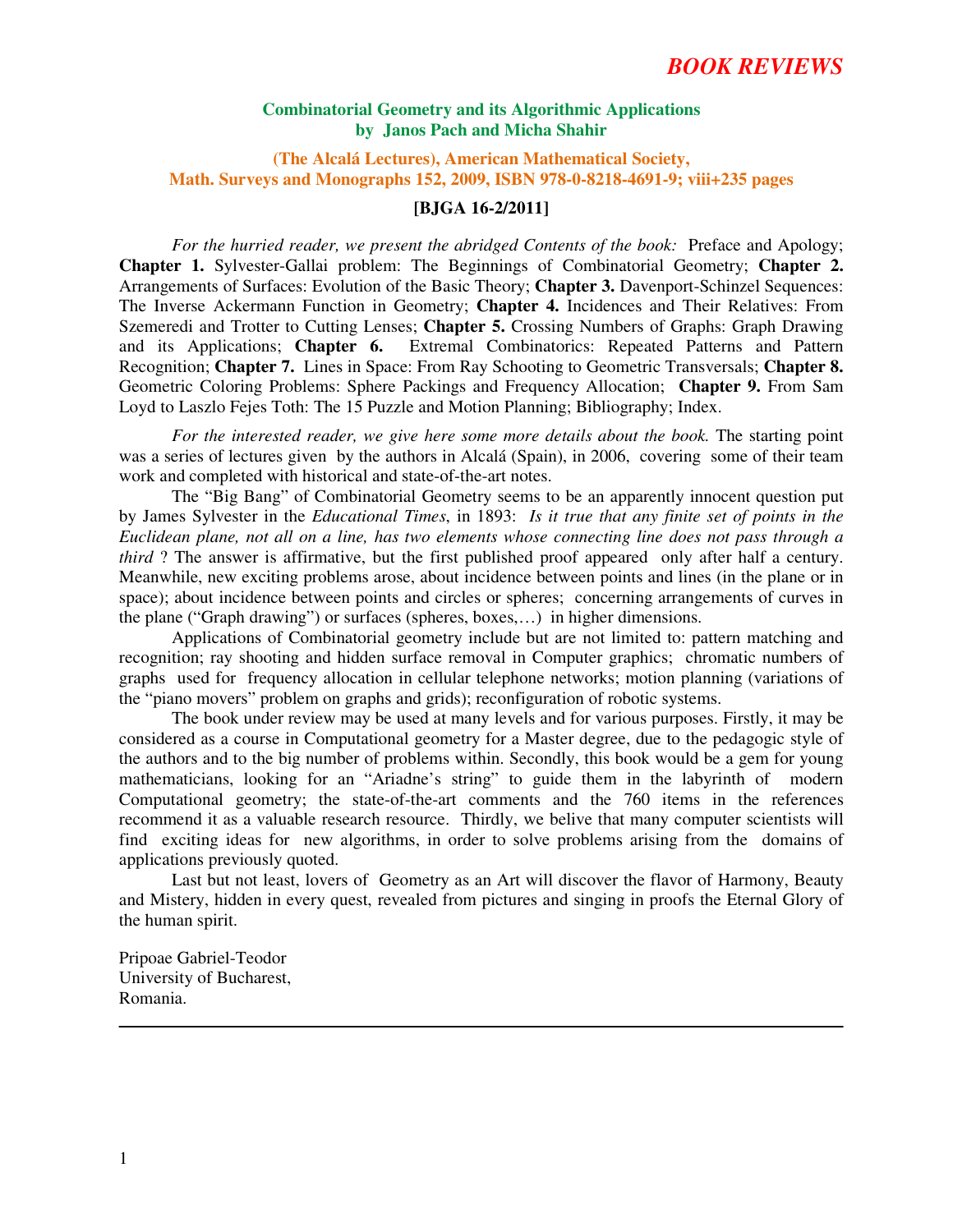### **Combinatorial Geometry and its Algorithmic Applications by Janos Pach and Micha Shahir**

**(The Alcalá Lectures), American Mathematical Society, Math. Surveys and Monographs 152, 2009, ISBN 978-0-8218-4691-9; viii+235 pages**

#### **[BJGA 16-2/2011]**

 *For the hurried reader, we present the abridged Contents of the book:* Preface and Apology; **Chapter 1.** Sylvester-Gallai problem: The Beginnings of Combinatorial Geometry; **Chapter 2.**  Arrangements of Surfaces: Evolution of the Basic Theory; **Chapter 3.** Davenport-Schinzel Sequences: The Inverse Ackermann Function in Geometry; **Chapter 4.** Incidences and Their Relatives: From Szemeredi and Trotter to Cutting Lenses; **Chapter 5.** Crossing Numbers of Graphs: Graph Drawing and its Applications; **Chapter 6.** Extremal Combinatorics: Repeated Patterns and Pattern Recognition; **Chapter 7.** Lines in Space: From Ray Schooting to Geometric Transversals; **Chapter 8.**  Geometric Coloring Problems: Sphere Packings and Frequency Allocation; **Chapter 9.** From Sam Loyd to Laszlo Fejes Toth: The 15 Puzzle and Motion Planning; Bibliography; Index.

*For the interested reader, we give here some more details about the book.* The starting point was a series of lectures given by the authors in Alcalá (Spain), in 2006, covering some of their team work and completed with historical and state-of-the-art notes.

The "Big Bang" of Combinatorial Geometry seems to be an apparently innocent question put by James Sylvester in the *Educational Times*, in 1893: *Is it true that any finite set of points in the Euclidean plane, not all on a line, has two elements whose connecting line does not pass through a third* ? The answer is affirmative, but the first published proof appeared only after half a century. Meanwhile, new exciting problems arose, about incidence between points and lines (in the plane or in space); about incidence between points and circles or spheres; concerning arrangements of curves in the plane ("Graph drawing") or surfaces (spheres, boxes,…) in higher dimensions.

Applications of Combinatorial geometry include but are not limited to: pattern matching and recognition; ray shooting and hidden surface removal in Computer graphics; chromatic numbers of graphs used for frequency allocation in cellular telephone networks; motion planning (variations of the "piano movers" problem on graphs and grids); reconfiguration of robotic systems.

The book under review may be used at many levels and for various purposes. Firstly, it may be considered as a course in Computational geometry for a Master degree, due to the pedagogic style of the authors and to the big number of problems within. Secondly, this book would be a gem for young mathematicians, looking for an "Ariadne's string" to guide them in the labyrinth of modern Computational geometry; the state-of-the-art comments and the 760 items in the references recommend it as a valuable research resource. Thirdly, we belive that many computer scientists will find exciting ideas for new algorithms, in order to solve problems arising from the domains of applications previously quoted.

Last but not least, lovers of Geometry as an Art will discover the flavor of Harmony, Beauty and Mistery, hidden in every quest, revealed from pictures and singing in proofs the Eternal Glory of the human spirit.

Pripoae Gabriel-Teodor University of Bucharest, Romania.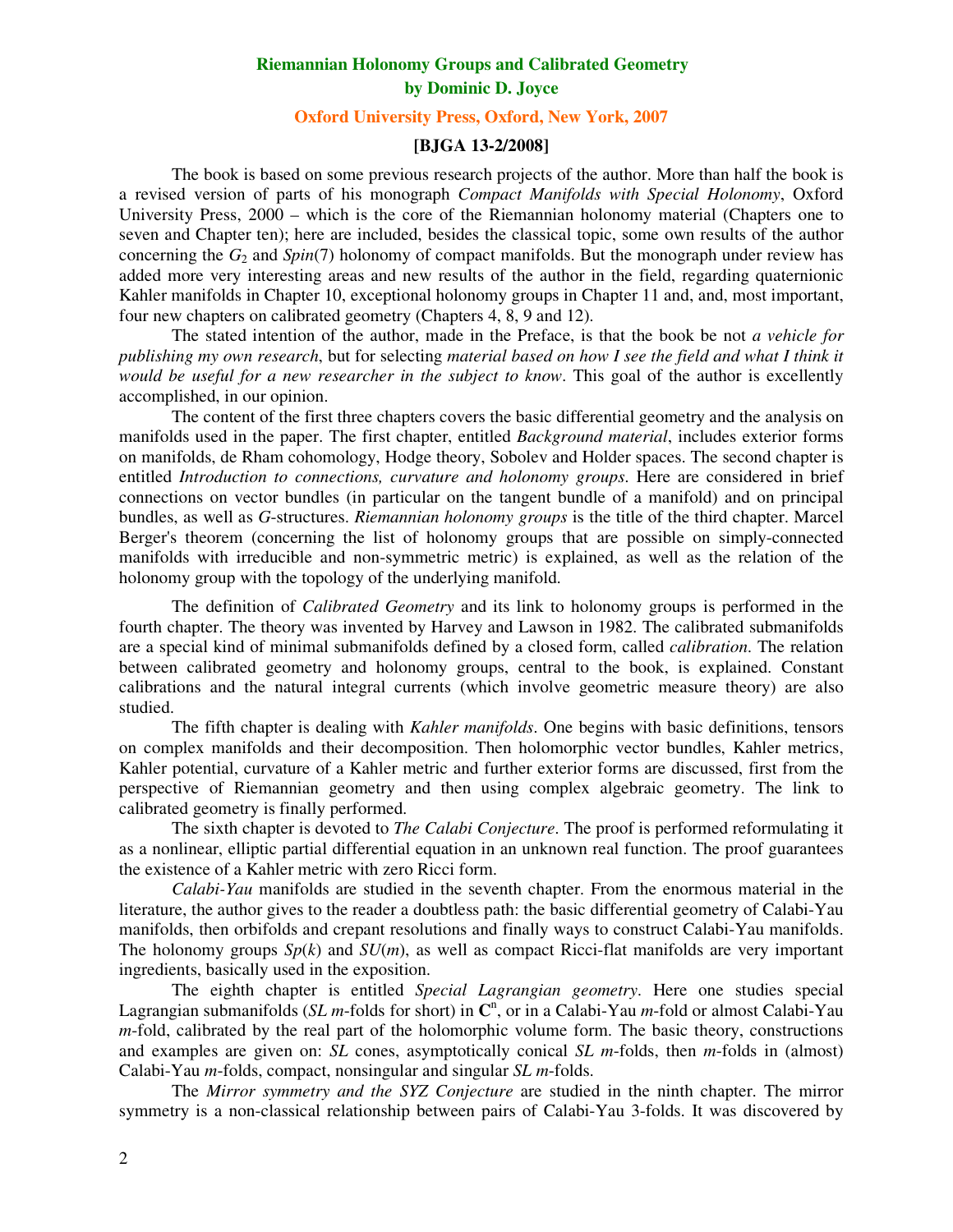# **Riemannian Holonomy Groups and Calibrated Geometry by Dominic D. Joyce**

# **Oxford University Press, Oxford, New York, 2007**

## **[BJGA 13-2/2008]**

The book is based on some previous research projects of the author. More than half the book is a revised version of parts of his monograph *Compact Manifolds with Special Holonomy*, Oxford University Press, 2000 – which is the core of the Riemannian holonomy material (Chapters one to seven and Chapter ten); here are included, besides the classical topic, some own results of the author concerning the *G*2 and *Spin*(7) holonomy of compact manifolds. But the monograph under review has added more very interesting areas and new results of the author in the field, regarding quaternionic Kahler manifolds in Chapter 10, exceptional holonomy groups in Chapter 11 and, and, most important, four new chapters on calibrated geometry (Chapters 4, 8, 9 and 12).

The stated intention of the author, made in the Preface, is that the book be not *a vehicle for publishing my own research*, but for selecting *material based on how I see the field and what I think it would be useful for a new researcher in the subject to know*. This goal of the author is excellently accomplished, in our opinion.

The content of the first three chapters covers the basic differential geometry and the analysis on manifolds used in the paper. The first chapter, entitled *Background material*, includes exterior forms on manifolds, de Rham cohomology, Hodge theory, Sobolev and Holder spaces. The second chapter is entitled *Introduction to connections, curvature and holonomy groups*. Here are considered in brief connections on vector bundles (in particular on the tangent bundle of a manifold) and on principal bundles, as well as *G*-structures. *Riemannian holonomy groups* is the title of the third chapter. Marcel Berger's theorem (concerning the list of holonomy groups that are possible on simply-connected manifolds with irreducible and non-symmetric metric) is explained, as well as the relation of the holonomy group with the topology of the underlying manifold.

The definition of *Calibrated Geometry* and its link to holonomy groups is performed in the fourth chapter. The theory was invented by Harvey and Lawson in 1982. The calibrated submanifolds are a special kind of minimal submanifolds defined by a closed form, called *calibration*. The relation between calibrated geometry and holonomy groups, central to the book, is explained. Constant calibrations and the natural integral currents (which involve geometric measure theory) are also studied.

 The fifth chapter is dealing with *Kahler manifolds*. One begins with basic definitions, tensors on complex manifolds and their decomposition. Then holomorphic vector bundles, Kahler metrics, Kahler potential, curvature of a Kahler metric and further exterior forms are discussed, first from the perspective of Riemannian geometry and then using complex algebraic geometry. The link to calibrated geometry is finally performed.

 The sixth chapter is devoted to *The Calabi Conjecture*. The proof is performed reformulating it as a nonlinear, elliptic partial differential equation in an unknown real function. The proof guarantees the existence of a Kahler metric with zero Ricci form.

*Calabi-Yau* manifolds are studied in the seventh chapter. From the enormous material in the literature, the author gives to the reader a doubtless path: the basic differential geometry of Calabi-Yau manifolds, then orbifolds and crepant resolutions and finally ways to construct Calabi-Yau manifolds. The holonomy groups  $Sp(k)$  and  $SU(m)$ , as well as compact Ricci-flat manifolds are very important ingredients, basically used in the exposition.

 The eighth chapter is entitled *Special Lagrangian geometry*. Here one studies special Lagrangian submanifolds (*SL m*-folds for short) in  $\mathbb{C}^n$ , or in a Calabi-Yau *m*-fold or almost Calabi-Yau *m*-fold, calibrated by the real part of the holomorphic volume form. The basic theory, constructions and examples are given on: *SL* cones, asymptotically conical *SL m*-folds, then *m*-folds in (almost) Calabi-Yau *m*-folds, compact, nonsingular and singular *SL m*-folds.

The *Mirror symmetry and the SYZ Conjecture* are studied in the ninth chapter. The mirror symmetry is a non-classical relationship between pairs of Calabi-Yau 3-folds. It was discovered by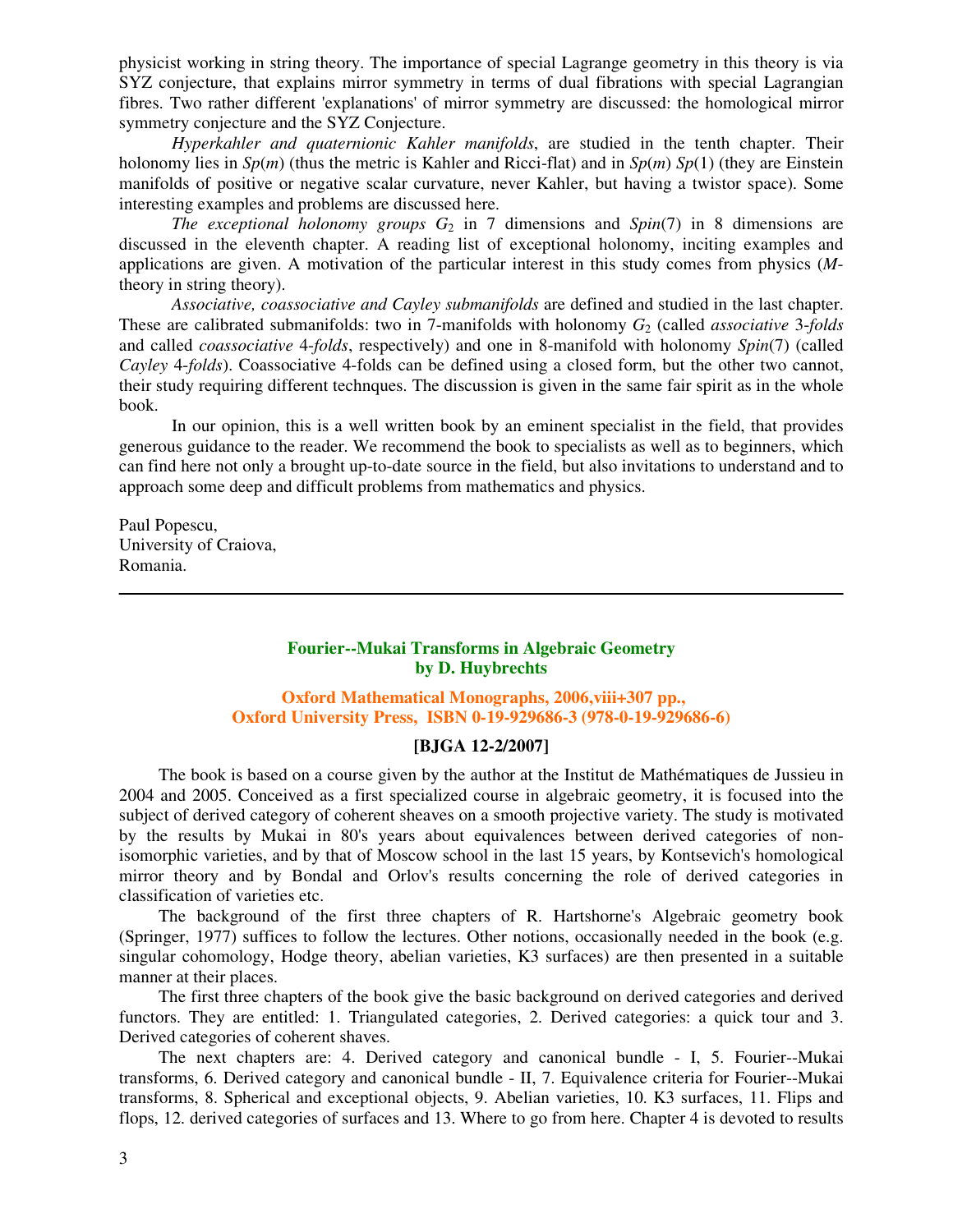physicist working in string theory. The importance of special Lagrange geometry in this theory is via SYZ conjecture, that explains mirror symmetry in terms of dual fibrations with special Lagrangian fibres. Two rather different 'explanations' of mirror symmetry are discussed: the homological mirror symmetry conjecture and the SYZ Conjecture.

*Hyperkahler and quaternionic Kahler manifolds*, are studied in the tenth chapter. Their holonomy lies in *Sp*(*m*) (thus the metric is Kahler and Ricci-flat) and in *Sp*(*m*) *Sp*(1) (they are Einstein manifolds of positive or negative scalar curvature, never Kahler, but having a twistor space). Some interesting examples and problems are discussed here.

*The exceptional holonomy groups G*2 in 7 dimensions and *Spin*(7) in 8 dimensions are discussed in the eleventh chapter. A reading list of exceptional holonomy, inciting examples and applications are given. A motivation of the particular interest in this study comes from physics (*M*theory in string theory).

*Associative, coassociative and Cayley submanifolds* are defined and studied in the last chapter. These are calibrated submanifolds: two in 7-manifolds with holonomy *G*2 (called *associative* 3-*folds* and called *coassociative* 4-*folds*, respectively) and one in 8-manifold with holonomy *Spin*(7) (called *Cayley* 4-*folds*). Coassociative 4-folds can be defined using a closed form, but the other two cannot, their study requiring different technques. The discussion is given in the same fair spirit as in the whole book.

 In our opinion, this is a well written book by an eminent specialist in the field, that provides generous guidance to the reader. We recommend the book to specialists as well as to beginners, which can find here not only a brought up-to-date source in the field, but also invitations to understand and to approach some deep and difficult problems from mathematics and physics.

Paul Popescu, University of Craiova, Romania.

# **Fourier--Mukai Transforms in Algebraic Geometry by D. Huybrechts**

# **Oxford Mathematical Monographs, 2006,viii+307 pp., Oxford University Press, ISBN 0-19-929686-3 (978-0-19-929686-6)**

#### **[BJGA 12-2/2007]**

The book is based on a course given by the author at the Institut de Mathématiques de Jussieu in 2004 and 2005. Conceived as a first specialized course in algebraic geometry, it is focused into the subject of derived category of coherent sheaves on a smooth projective variety. The study is motivated by the results by Mukai in 80's years about equivalences between derived categories of nonisomorphic varieties, and by that of Moscow school in the last 15 years, by Kontsevich's homological mirror theory and by Bondal and Orlov's results concerning the role of derived categories in classification of varieties etc.

The background of the first three chapters of R. Hartshorne's Algebraic geometry book (Springer, 1977) suffices to follow the lectures. Other notions, occasionally needed in the book (e.g. singular cohomology, Hodge theory, abelian varieties, K3 surfaces) are then presented in a suitable manner at their places.

The first three chapters of the book give the basic background on derived categories and derived functors. They are entitled: 1. Triangulated categories, 2. Derived categories: a quick tour and 3. Derived categories of coherent shaves.

The next chapters are: 4. Derived category and canonical bundle - I, 5. Fourier--Mukai transforms, 6. Derived category and canonical bundle - II, 7. Equivalence criteria for Fourier--Mukai transforms, 8. Spherical and exceptional objects, 9. Abelian varieties, 10. K3 surfaces, 11. Flips and flops, 12. derived categories of surfaces and 13. Where to go from here. Chapter 4 is devoted to results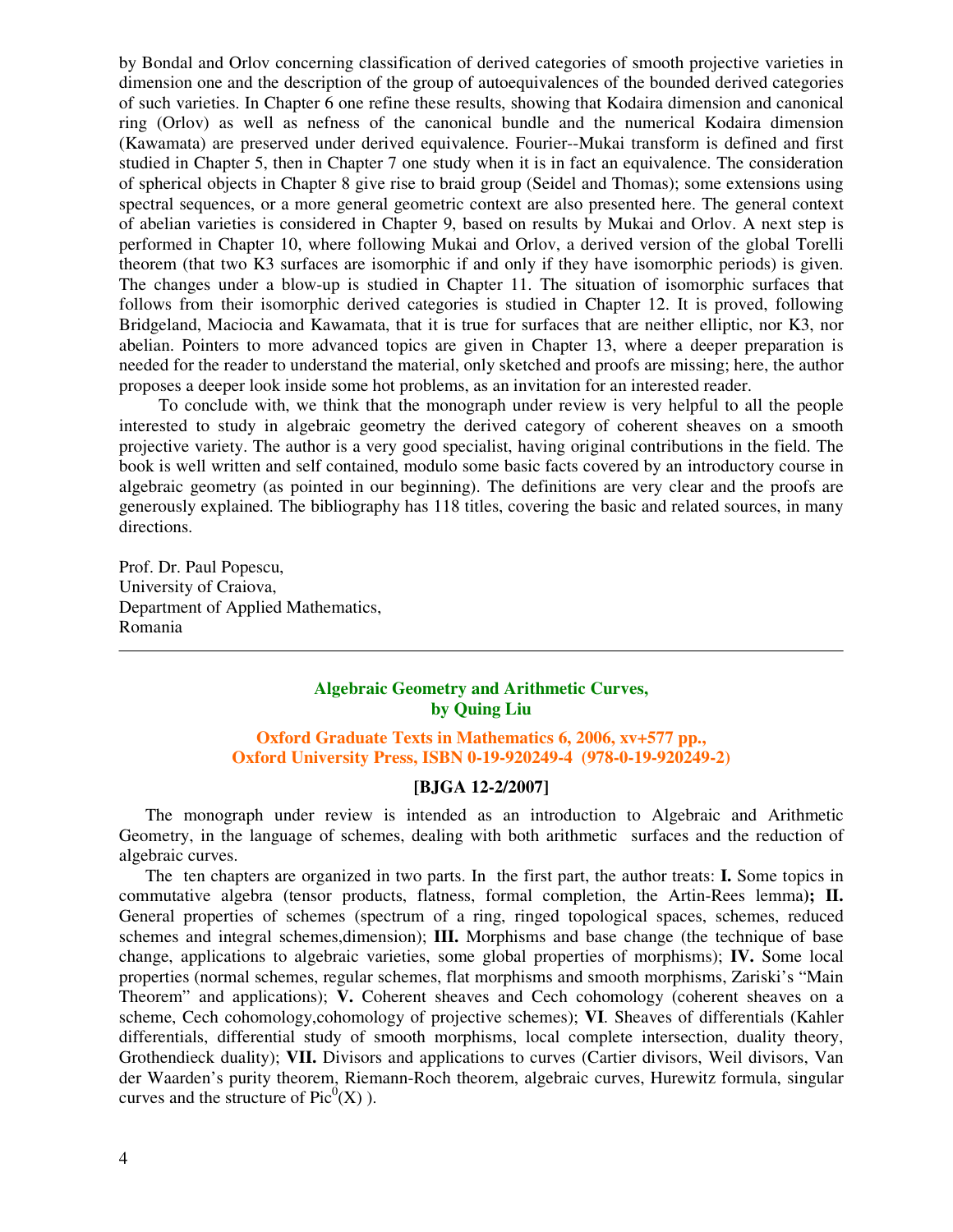by Bondal and Orlov concerning classification of derived categories of smooth projective varieties in dimension one and the description of the group of autoequivalences of the bounded derived categories of such varieties. In Chapter 6 one refine these results, showing that Kodaira dimension and canonical ring (Orlov) as well as nefness of the canonical bundle and the numerical Kodaira dimension (Kawamata) are preserved under derived equivalence. Fourier--Mukai transform is defined and first studied in Chapter 5, then in Chapter 7 one study when it is in fact an equivalence. The consideration of spherical objects in Chapter 8 give rise to braid group (Seidel and Thomas); some extensions using spectral sequences, or a more general geometric context are also presented here. The general context of abelian varieties is considered in Chapter 9, based on results by Mukai and Orlov. A next step is performed in Chapter 10, where following Mukai and Orlov, a derived version of the global Torelli theorem (that two K3 surfaces are isomorphic if and only if they have isomorphic periods) is given. The changes under a blow-up is studied in Chapter 11. The situation of isomorphic surfaces that follows from their isomorphic derived categories is studied in Chapter 12. It is proved, following Bridgeland, Maciocia and Kawamata, that it is true for surfaces that are neither elliptic, nor K3, nor abelian. Pointers to more advanced topics are given in Chapter 13, where a deeper preparation is needed for the reader to understand the material, only sketched and proofs are missing; here, the author proposes a deeper look inside some hot problems, as an invitation for an interested reader.

To conclude with, we think that the monograph under review is very helpful to all the people interested to study in algebraic geometry the derived category of coherent sheaves on a smooth projective variety. The author is a very good specialist, having original contributions in the field. The book is well written and self contained, modulo some basic facts covered by an introductory course in algebraic geometry (as pointed in our beginning). The definitions are very clear and the proofs are generously explained. The bibliography has 118 titles, covering the basic and related sources, in many directions.

Prof. Dr. Paul Popescu, University of Craiova, Department of Applied Mathematics, Romania

# **Algebraic Geometry and Arithmetic Curves, by Quing Liu**

### **Oxford Graduate Texts in Mathematics 6, 2006, xv+577 pp., Oxford University Press, ISBN 0-19-920249-4 (978-0-19-920249-2)**

# **[BJGA 12-2/2007]**

The monograph under review is intended as an introduction to Algebraic and Arithmetic Geometry, in the language of schemes, dealing with both arithmetic surfaces and the reduction of algebraic curves.

The ten chapters are organized in two parts. In the first part, the author treats: **I.** Some topics in commutative algebra (tensor products, flatness, formal completion, the Artin-Rees lemma**); II.** General properties of schemes (spectrum of a ring, ringed topological spaces, schemes, reduced schemes and integral schemes,dimension); **III.** Morphisms and base change (the technique of base change, applications to algebraic varieties, some global properties of morphisms); **IV.** Some local properties (normal schemes, regular schemes, flat morphisms and smooth morphisms, Zariski's "Main Theorem" and applications); **V.** Coherent sheaves and Cech cohomology (coherent sheaves on a scheme, Cech cohomology,cohomology of projective schemes); **VI**. Sheaves of differentials (Kahler differentials, differential study of smooth morphisms, local complete intersection, duality theory, Grothendieck duality); **VII.** Divisors and applications to curves (Cartier divisors, Weil divisors, Van der Waarden's purity theorem, Riemann-Roch theorem, algebraic curves, Hurewitz formula, singular curves and the structure of  $Pic^0(X)$ ).

 $\overline{a}$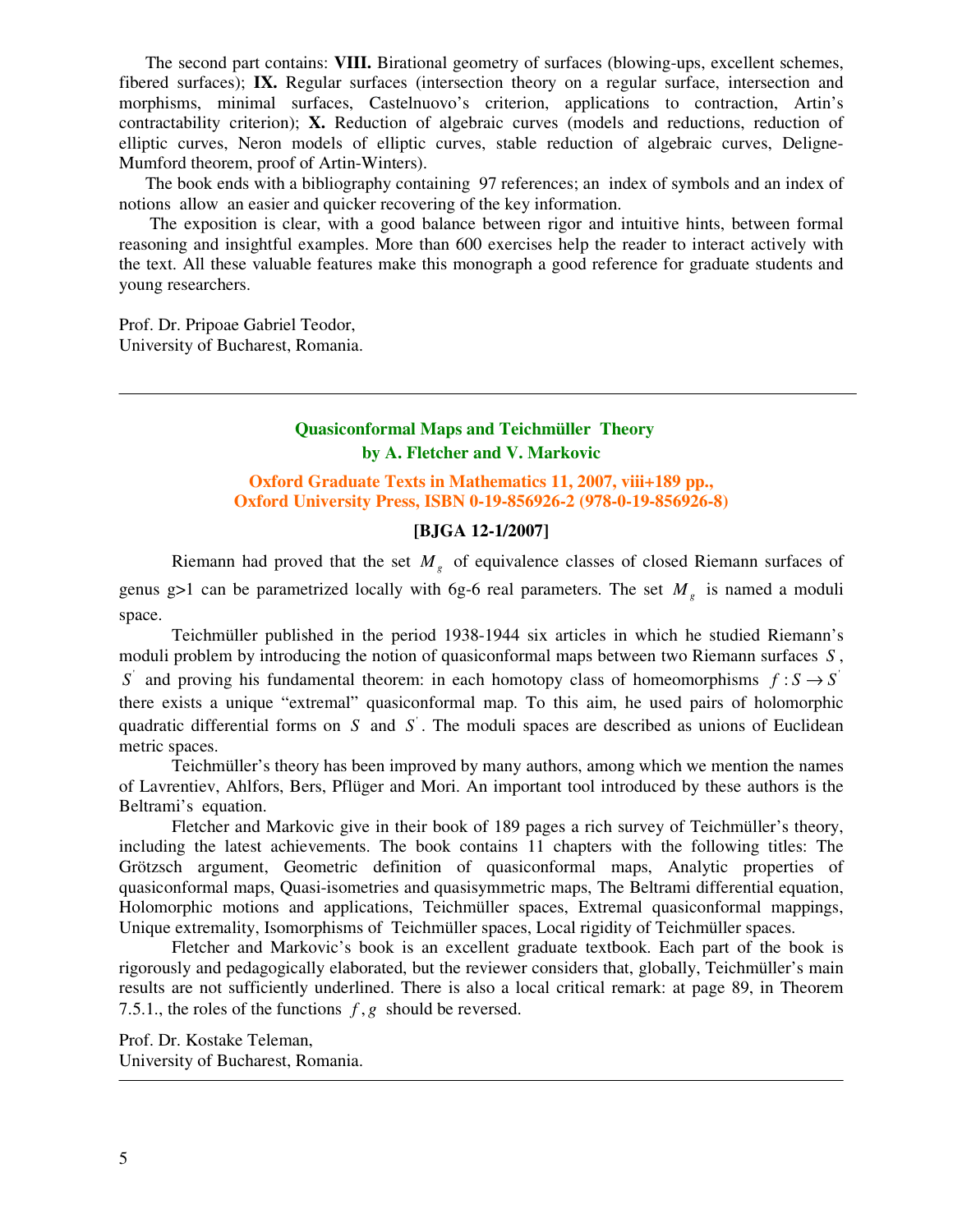The second part contains: **VIII.** Birational geometry of surfaces (blowing-ups, excellent schemes, fibered surfaces); **IX.** Regular surfaces (intersection theory on a regular surface, intersection and morphisms, minimal surfaces, Castelnuovo's criterion, applications to contraction, Artin's contractability criterion); **X.** Reduction of algebraic curves (models and reductions, reduction of elliptic curves, Neron models of elliptic curves, stable reduction of algebraic curves, Deligne-Mumford theorem, proof of Artin-Winters).

The book ends with a bibliography containing 97 references; an index of symbols and an index of notions allow an easier and quicker recovering of the key information.

 The exposition is clear, with a good balance between rigor and intuitive hints, between formal reasoning and insightful examples. More than 600 exercises help the reader to interact actively with the text. All these valuable features make this monograph a good reference for graduate students and young researchers.

Prof. Dr. Pripoae Gabriel Teodor, University of Bucharest, Romania.

# **Quasiconformal Maps and Teichmüller Theory by A. Fletcher and V. Markovic**

### **Oxford Graduate Texts in Mathematics 11, 2007, viii+189 pp., Oxford University Press, ISBN 0-19-856926-2 (978-0-19-856926-8)**

# **[BJGA 12-1/2007]**

Riemann had proved that the set *M<sup>g</sup>* of equivalence classes of closed Riemann surfaces of genus g>1 can be parametrized locally with 6g-6 real parameters. The set  $M<sub>g</sub>$  is named a moduli space.

Teichmüller published in the period 1938-1944 six articles in which he studied Riemann's moduli problem by introducing the notion of quasiconformal maps between two Riemann surfaces *S* , *S* and proving his fundamental theorem: in each homotopy class of homeomorphisms  $f : S \rightarrow S'$ there exists a unique "extremal" quasiconformal map. To this aim, he used pairs of holomorphic quadratic differential forms on  $S$  and  $S'$ . The moduli spaces are described as unions of Euclidean metric spaces.

Teichmüller's theory has been improved by many authors, among which we mention the names of Lavrentiev, Ahlfors, Bers, Pflüger and Mori. An important tool introduced by these authors is the Beltrami's equation.

Fletcher and Markovic give in their book of 189 pages a rich survey of Teichmüller's theory, including the latest achievements. The book contains 11 chapters with the following titles: The Grötzsch argument, Geometric definition of quasiconformal maps, Analytic properties of quasiconformal maps, Quasi-isometries and quasisymmetric maps, The Beltrami differential equation, Holomorphic motions and applications, Teichmüller spaces, Extremal quasiconformal mappings, Unique extremality, Isomorphisms of Teichmüller spaces, Local rigidity of Teichmüller spaces.

Fletcher and Markovic's book is an excellent graduate textbook. Each part of the book is rigorously and pedagogically elaborated, but the reviewer considers that, globally, Teichmüller's main results are not sufficiently underlined. There is also a local critical remark: at page 89, in Theorem 7.5.1., the roles of the functions *f* , *g* should be reversed.

Prof. Dr. Kostake Teleman, University of Bucharest, Romania.